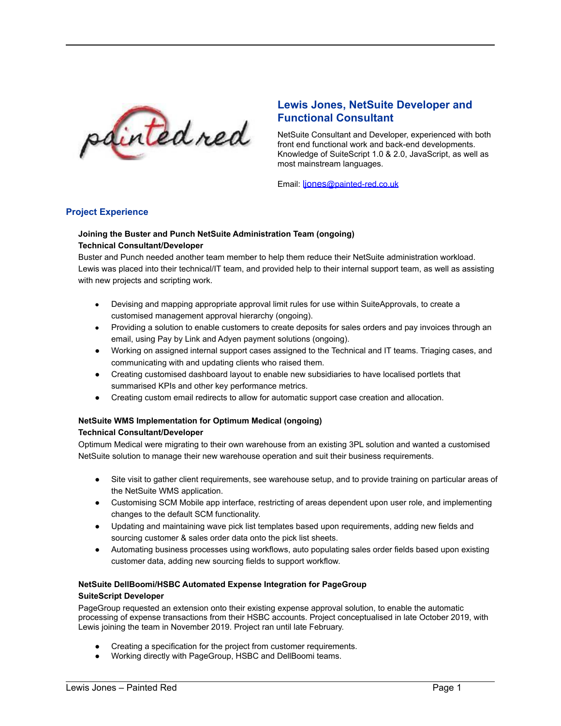

# **Lewis Jones, NetSuite Developer and Functional Consultant**

NetSuite Consultant and Developer, experienced with both front end functional work and back-end developments. Knowledge of SuiteScript 1.0 & 2.0, JavaScript, as well as most mainstream languages.

Email: *liones[@painted-red.co.uk](mailto:ljones@painted-red.co.uk)* 

## **Project Experience**

### **Joining the Buster and Punch NetSuite Administration Team (ongoing) Technical Consultant/Developer**

Buster and Punch needed another team member to help them reduce their NetSuite administration workload. Lewis was placed into their technical/IT team, and provided help to their internal support team, as well as assisting with new projects and scripting work.

- Devising and mapping appropriate approval limit rules for use within SuiteApprovals, to create a customised management approval hierarchy (ongoing).
- Providing a solution to enable customers to create deposits for sales orders and pay invoices through an email, using Pay by Link and Adyen payment solutions (ongoing).
- Working on assigned internal support cases assigned to the Technical and IT teams. Triaging cases, and communicating with and updating clients who raised them.
- Creating customised dashboard layout to enable new subsidiaries to have localised portlets that summarised KPIs and other key performance metrics.
- Creating custom email redirects to allow for automatic support case creation and allocation.

# **NetSuite WMS Implementation for Optimum Medical (ongoing)**

### **Technical Consultant/Developer**

Optimum Medical were migrating to their own warehouse from an existing 3PL solution and wanted a customised NetSuite solution to manage their new warehouse operation and suit their business requirements.

- Site visit to gather client requirements, see warehouse setup, and to provide training on particular areas of the NetSuite WMS application.
- Customising SCM Mobile app interface, restricting of areas dependent upon user role, and implementing changes to the default SCM functionality.
- Updating and maintaining wave pick list templates based upon requirements, adding new fields and sourcing customer & sales order data onto the pick list sheets.
- Automating business processes using workflows, auto populating sales order fields based upon existing customer data, adding new sourcing fields to support workflow.

# **NetSuite DellBoomi/HSBC Automated Expense Integration for PageGroup SuiteScript Developer**

PageGroup requested an extension onto their existing expense approval solution, to enable the automatic processing of expense transactions from their HSBC accounts. Project conceptualised in late October 2019, with Lewis joining the team in November 2019. Project ran until late February.

- Creating a specification for the project from customer requirements.
- Working directly with PageGroup, HSBC and DellBoomi teams.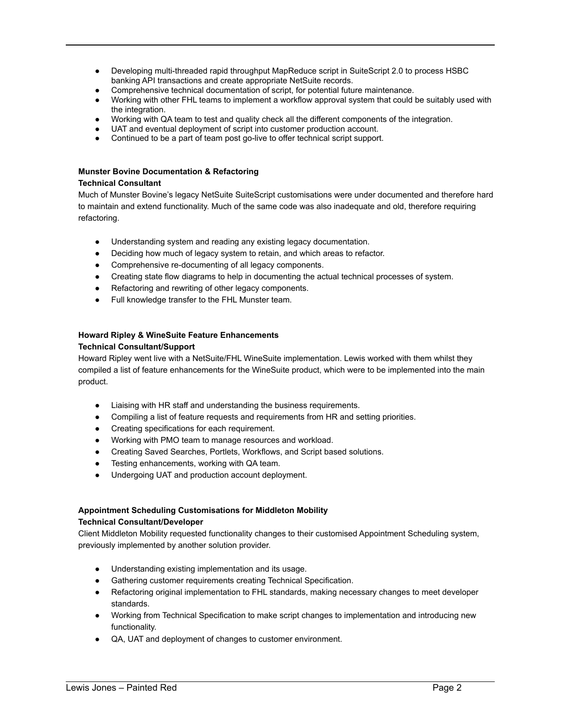- Developing multi-threaded rapid throughput MapReduce script in SuiteScript 2.0 to process HSBC banking API transactions and create appropriate NetSuite records.
- Comprehensive technical documentation of script, for potential future maintenance.
- Working with other FHL teams to implement a workflow approval system that could be suitably used with the integration.
- Working with QA team to test and quality check all the different components of the integration.
- UAT and eventual deployment of script into customer production account.
- Continued to be a part of team post go-live to offer technical script support.

#### **Munster Bovine Documentation & Refactoring**

#### **Technical Consultant**

Much of Munster Bovine's legacy NetSuite SuiteScript customisations were under documented and therefore hard to maintain and extend functionality. Much of the same code was also inadequate and old, therefore requiring refactoring.

- Understanding system and reading any existing legacy documentation.
- Deciding how much of legacy system to retain, and which areas to refactor.
- Comprehensive re-documenting of all legacy components.
- Creating state flow diagrams to help in documenting the actual technical processes of system.
- Refactoring and rewriting of other legacy components.
- Full knowledge transfer to the FHL Munster team.

## **Howard Ripley & WineSuite Feature Enhancements**

#### **Technical Consultant/Support**

Howard Ripley went live with a NetSuite/FHL WineSuite implementation. Lewis worked with them whilst they compiled a list of feature enhancements for the WineSuite product, which were to be implemented into the main product.

- Liaising with HR staff and understanding the business requirements.
- Compiling a list of feature requests and requirements from HR and setting priorities.
- Creating specifications for each requirement.
- Working with PMO team to manage resources and workload.
- Creating Saved Searches, Portlets, Workflows, and Script based solutions.
- Testing enhancements, working with QA team.
- Undergoing UAT and production account deployment.

### **Appointment Scheduling Customisations for Middleton Mobility**

#### **Technical Consultant/Developer**

Client Middleton Mobility requested functionality changes to their customised Appointment Scheduling system, previously implemented by another solution provider.

- Understanding existing implementation and its usage.
- Gathering customer requirements creating Technical Specification.
- Refactoring original implementation to FHL standards, making necessary changes to meet developer standards.
- Working from Technical Specification to make script changes to implementation and introducing new functionality.
- QA, UAT and deployment of changes to customer environment.